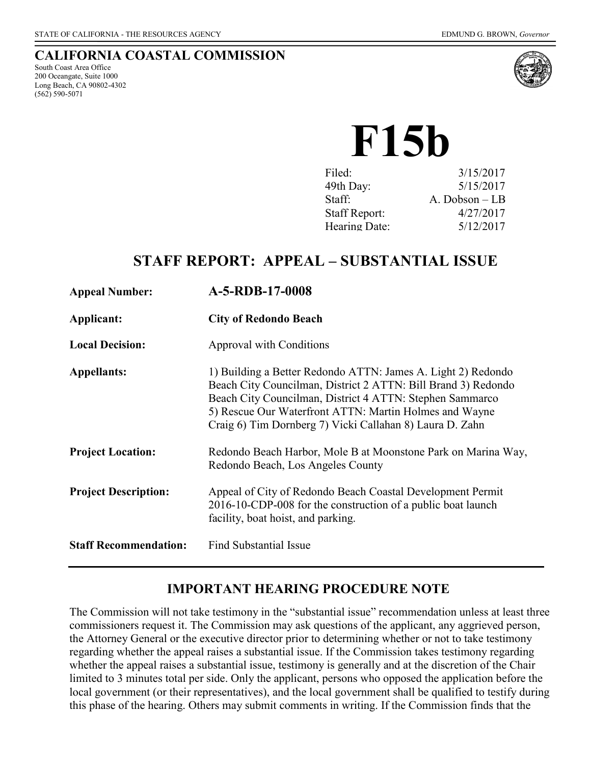### **CALIFORNIA COASTAL COMMISSION**

South Coast Area Office 200 Oceangate, Suite 1000 Long Beach, CA 90802-4302 (562) 590-5071



**F15b**

| Filed:               | 3/15/2017      |
|----------------------|----------------|
| 49th Day:            | 5/15/2017      |
| Staff:               | A. Dobson - LB |
| <b>Staff Report:</b> | 4/27/2017      |
| Hearing Date:        | 5/12/2017      |
|                      |                |

# **STAFF REPORT: APPEAL – SUBSTANTIAL ISSUE**

| <b>Appeal Number:</b>        | A-5-RDB-17-0008                                                                                                                                                                                                                                                                                                 |
|------------------------------|-----------------------------------------------------------------------------------------------------------------------------------------------------------------------------------------------------------------------------------------------------------------------------------------------------------------|
| Applicant:                   | <b>City of Redondo Beach</b>                                                                                                                                                                                                                                                                                    |
| <b>Local Decision:</b>       | <b>Approval with Conditions</b>                                                                                                                                                                                                                                                                                 |
| <b>Appellants:</b>           | 1) Building a Better Redondo ATTN: James A. Light 2) Redondo<br>Beach City Councilman, District 2 ATTN: Bill Brand 3) Redondo<br>Beach City Councilman, District 4 ATTN: Stephen Sammarco<br>5) Rescue Our Waterfront ATTN: Martin Holmes and Wayne<br>Craig 6) Tim Dornberg 7) Vicki Callahan 8) Laura D. Zahn |
| <b>Project Location:</b>     | Redondo Beach Harbor, Mole B at Moonstone Park on Marina Way,<br>Redondo Beach, Los Angeles County                                                                                                                                                                                                              |
| <b>Project Description:</b>  | Appeal of City of Redondo Beach Coastal Development Permit<br>2016-10-CDP-008 for the construction of a public boat launch<br>facility, boat hoist, and parking.                                                                                                                                                |
| <b>Staff Recommendation:</b> | <b>Find Substantial Issue</b>                                                                                                                                                                                                                                                                                   |

# **IMPORTANT HEARING PROCEDURE NOTE**

The Commission will not take testimony in the "substantial issue" recommendation unless at least three commissioners request it. The Commission may ask questions of the applicant, any aggrieved person, the Attorney General or the executive director prior to determining whether or not to take testimony regarding whether the appeal raises a substantial issue. If the Commission takes testimony regarding whether the appeal raises a substantial issue, testimony is generally and at the discretion of the Chair limited to 3 minutes total per side. Only the applicant, persons who opposed the application before the local government (or their representatives), and the local government shall be qualified to testify during this phase of the hearing. Others may submit comments in writing. If the Commission finds that the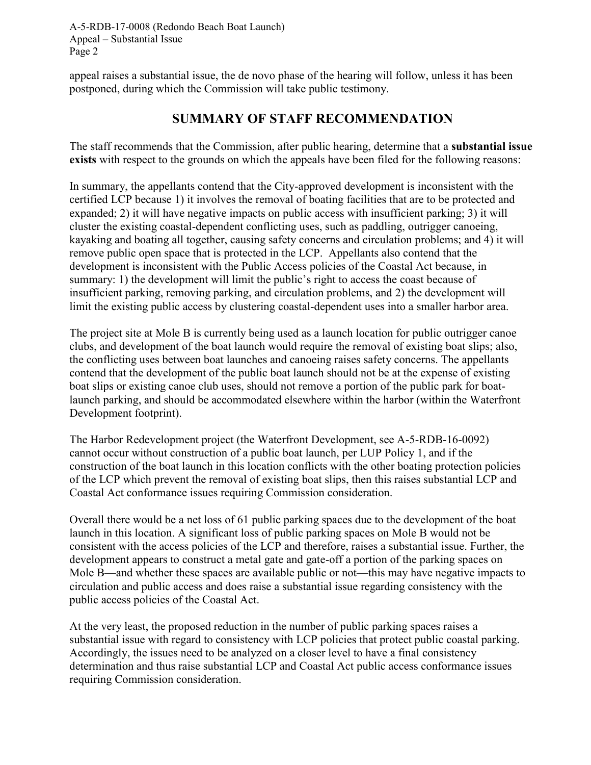appeal raises a substantial issue, the de novo phase of the hearing will follow, unless it has been postponed, during which the Commission will take public testimony.

# **SUMMARY OF STAFF RECOMMENDATION**

The staff recommends that the Commission, after public hearing, determine that a **substantial issue exists** with respect to the grounds on which the appeals have been filed for the following reasons:

In summary, the appellants contend that the City-approved development is inconsistent with the certified LCP because 1) it involves the removal of boating facilities that are to be protected and expanded; 2) it will have negative impacts on public access with insufficient parking; 3) it will cluster the existing coastal-dependent conflicting uses, such as paddling, outrigger canoeing, kayaking and boating all together, causing safety concerns and circulation problems; and 4) it will remove public open space that is protected in the LCP. Appellants also contend that the development is inconsistent with the Public Access policies of the Coastal Act because, in summary: 1) the development will limit the public's right to access the coast because of insufficient parking, removing parking, and circulation problems, and 2) the development will limit the existing public access by clustering coastal-dependent uses into a smaller harbor area.

The project site at Mole B is currently being used as a launch location for public outrigger canoe clubs, and development of the boat launch would require the removal of existing boat slips; also, the conflicting uses between boat launches and canoeing raises safety concerns. The appellants contend that the development of the public boat launch should not be at the expense of existing boat slips or existing canoe club uses, should not remove a portion of the public park for boatlaunch parking, and should be accommodated elsewhere within the harbor (within the Waterfront Development footprint).

The Harbor Redevelopment project (the Waterfront Development, see A-5-RDB-16-0092) cannot occur without construction of a public boat launch, per LUP Policy 1, and if the construction of the boat launch in this location conflicts with the other boating protection policies of the LCP which prevent the removal of existing boat slips, then this raises substantial LCP and Coastal Act conformance issues requiring Commission consideration.

Overall there would be a net loss of 61 public parking spaces due to the development of the boat launch in this location. A significant loss of public parking spaces on Mole B would not be consistent with the access policies of the LCP and therefore, raises a substantial issue. Further, the development appears to construct a metal gate and gate-off a portion of the parking spaces on Mole B—and whether these spaces are available public or not—this may have negative impacts to circulation and public access and does raise a substantial issue regarding consistency with the public access policies of the Coastal Act.

At the very least, the proposed reduction in the number of public parking spaces raises a substantial issue with regard to consistency with LCP policies that protect public coastal parking. Accordingly, the issues need to be analyzed on a closer level to have a final consistency determination and thus raise substantial LCP and Coastal Act public access conformance issues requiring Commission consideration.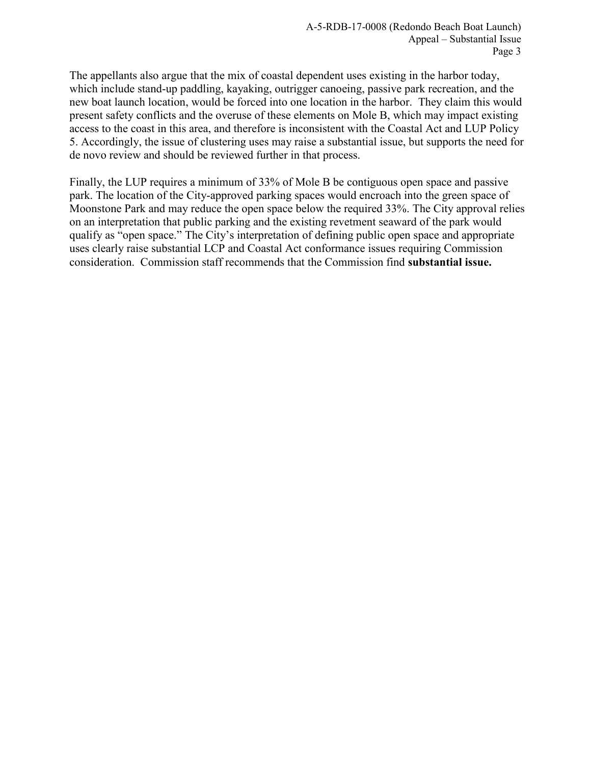The appellants also argue that the mix of coastal dependent uses existing in the harbor today, which include stand-up paddling, kayaking, outrigger canoeing, passive park recreation, and the new boat launch location, would be forced into one location in the harbor. They claim this would present safety conflicts and the overuse of these elements on Mole B, which may impact existing access to the coast in this area, and therefore is inconsistent with the Coastal Act and LUP Policy 5. Accordingly, the issue of clustering uses may raise a substantial issue, but supports the need for de novo review and should be reviewed further in that process.

Finally, the LUP requires a minimum of 33% of Mole B be contiguous open space and passive park. The location of the City-approved parking spaces would encroach into the green space of Moonstone Park and may reduce the open space below the required 33%. The City approval relies on an interpretation that public parking and the existing revetment seaward of the park would qualify as "open space." The City's interpretation of defining public open space and appropriate uses clearly raise substantial LCP and Coastal Act conformance issues requiring Commission consideration. Commission staff recommends that the Commission find **substantial issue.**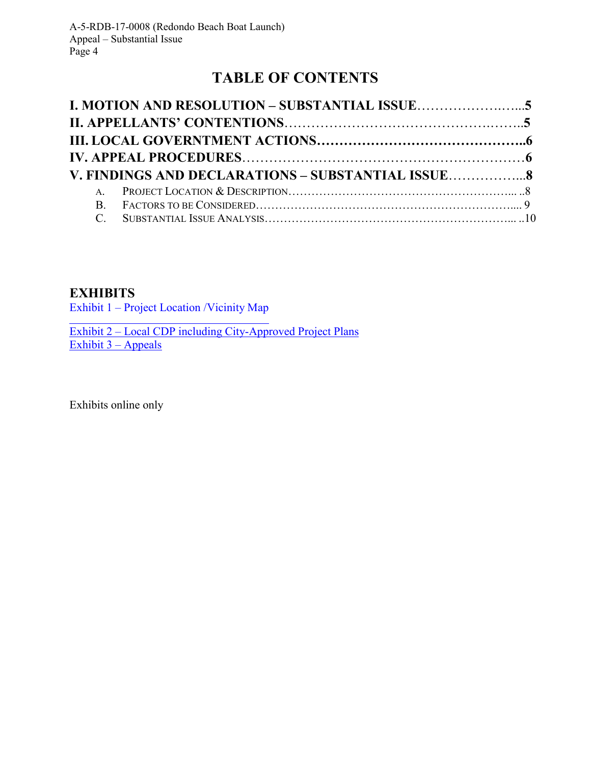# **TABLE OF CONTENTS**

| V. FINDINGS AND DECLARATIONS - SUBSTANTIAL ISSUE8 |  |
|---------------------------------------------------|--|
|                                                   |  |
|                                                   |  |
|                                                   |  |

# **EXHIBITS**

[Exhibit 1 – Project Location /Vicinity Map](https://documents.coastal.ca.gov/reports/2017/5/F15b/F15b-5-2017-exhibits.pdf) 

Exhibit 2 – Local CDP including City-Approved Project Plans Exhibit  $3 -$  Appeals

Exhibits online only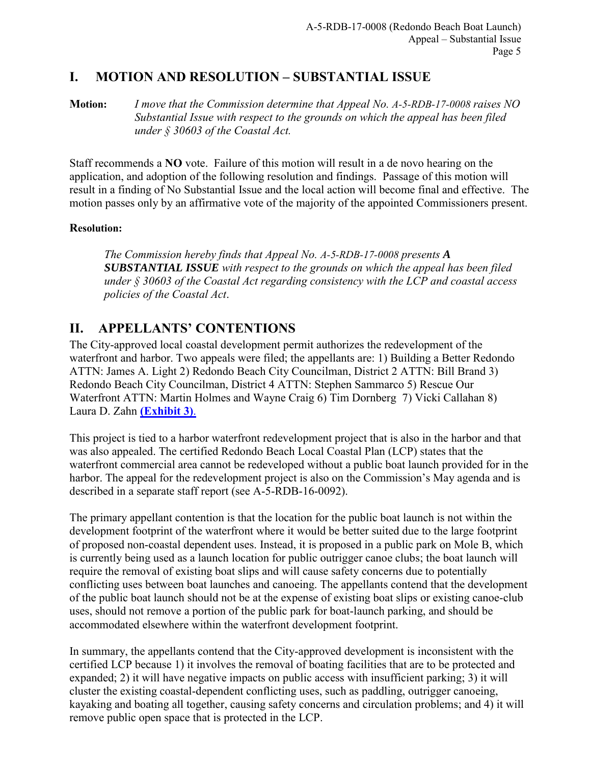## <span id="page-4-0"></span>**I. MOTION AND RESOLUTION – SUBSTANTIAL ISSUE**

**Motion:** *I move that the Commission determine that Appeal No. A-5-RDB-17-0008 raises NO Substantial Issue with respect to the grounds on which the appeal has been filed under § 30603 of the Coastal Act.*

Staff recommends a **NO** vote. Failure of this motion will result in a de novo hearing on the application, and adoption of the following resolution and findings. Passage of this motion will result in a finding of No Substantial Issue and the local action will become final and effective. The motion passes only by an affirmative vote of the majority of the appointed Commissioners present.

### **Resolution:**

*The Commission hereby finds that Appeal No. A-5-RDB-17-0008 presents A SUBSTANTIAL ISSUE with respect to the grounds on which the appeal has been filed under § 30603 of the Coastal Act regarding consistency with the LCP and coastal access policies of the Coastal Act*.

## **II. APPELLANTS' CONTENTIONS**

The City-approved local coastal development permit authorizes the redevelopment of the waterfront and harbor. Two appeals were filed; the appellants are: 1) Building a Better Redondo ATTN: James A. Light 2) Redondo Beach City Councilman, District 2 ATTN: Bill Brand 3) Redondo Beach City Councilman, District 4 ATTN: Stephen Sammarco 5) Rescue Our Waterfront ATTN: Martin Holmes and Wayne Craig 6) Tim Dornberg 7) Vicki Callahan 8) Laura D. Zahn **[\(Exhibit 3\)](https://documents.coastal.ca.gov/reports/2017/5/F15b/F15b-5-2017-exhibits.pdf)**.

This project is tied to a harbor waterfront redevelopment project that is also in the harbor and that was also appealed. The certified Redondo Beach Local Coastal Plan (LCP) states that the waterfront commercial area cannot be redeveloped without a public boat launch provided for in the harbor. The appeal for the redevelopment project is also on the Commission's May agenda and is described in a separate staff report (see A-5-RDB-16-0092).

The primary appellant contention is that the location for the public boat launch is not within the development footprint of the waterfront where it would be better suited due to the large footprint of proposed non-coastal dependent uses. Instead, it is proposed in a public park on Mole B, which is currently being used as a launch location for public outrigger canoe clubs; the boat launch will require the removal of existing boat slips and will cause safety concerns due to potentially conflicting uses between boat launches and canoeing. The appellants contend that the development of the public boat launch should not be at the expense of existing boat slips or existing canoe-club uses, should not remove a portion of the public park for boat-launch parking, and should be accommodated elsewhere within the waterfront development footprint.

In summary, the appellants contend that the City-approved development is inconsistent with the certified LCP because 1) it involves the removal of boating facilities that are to be protected and expanded; 2) it will have negative impacts on public access with insufficient parking; 3) it will cluster the existing coastal-dependent conflicting uses, such as paddling, outrigger canoeing, kayaking and boating all together, causing safety concerns and circulation problems; and 4) it will remove public open space that is protected in the LCP.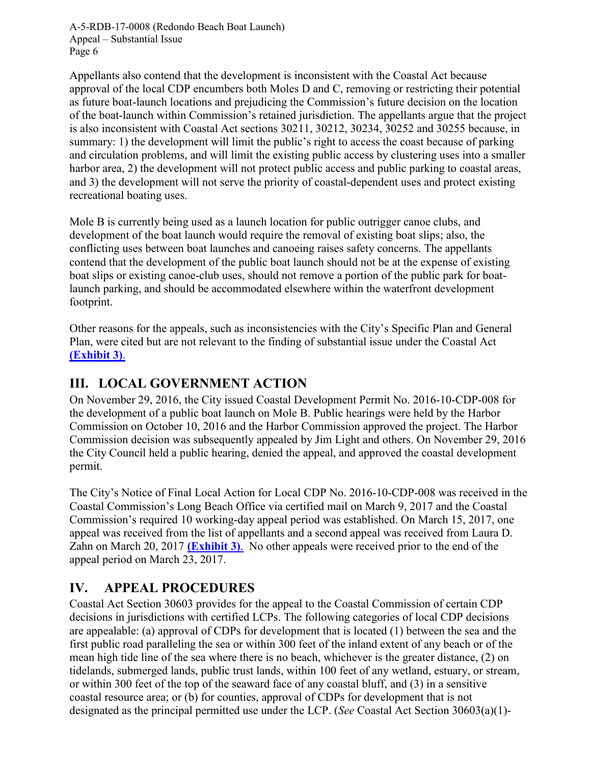<span id="page-5-0"></span>Appellants also contend that the development is inconsistent with the Coastal Act because approval of the local CDP encumbers both Moles D and C, removing or restricting their potential as future boat-launch locations and prejudicing the Commission's future decision on the location of the boat-launch within Commission's retained jurisdiction. The appellants argue that the project is also inconsistent with Coastal Act sections 30211, 30212, 30234, 30252 and 30255 because, in summary: 1) the development will limit the public's right to access the coast because of parking and circulation problems, and will limit the existing public access by clustering uses into a smaller harbor area, 2) the development will not protect public access and public parking to coastal areas, and 3) the development will not serve the priority of coastal-dependent uses and protect existing recreational boating uses.

Mole B is currently being used as a launch location for public outrigger canoe clubs, and development of the boat launch would require the removal of existing boat slips; also, the conflicting uses between boat launches and canoeing raises safety concerns. The appellants contend that the development of the public boat launch should not be at the expense of existing boat slips or existing canoe-club uses, should not remove a portion of the public park for boatlaunch parking, and should be accommodated elsewhere within the waterfront development footprint.

Other reasons for the appeals, such as inconsistencies with the City's Specific Plan and General Plan, were cited but are not relevant to the finding of substantial issue under the Coastal Act **[\(Exhibit 3\)](https://documents.coastal.ca.gov/reports/2017/5/F15b/F15b-5-2017-exhibits.pdf)**.

# **III. LOCAL GOVERNMENT ACTION**

On November 29, 2016, the City issued Coastal Development Permit No. 2016-10-CDP-008 for the development of a public boat launch on Mole B. Public hearings were held by the Harbor Commission on October 10, 2016 and the Harbor Commission approved the project. The Harbor Commission decision was subsequently appealed by Jim Light and others. On November 29, 2016 the City Council held a public hearing, denied the appeal, and approved the coastal development permit.

The City's Notice of Final Local Action for Local CDP No. 2016-10-CDP-008 was received in the Coastal Commission's Long Beach Office via certified mail on March 9, 2017 and the Coastal Commission's required 10 working-day appeal period was established. On March 15, 2017, one appeal was received from the list of appellants and a second appeal was received from Laura D. Zahn on March 20, 2017 **[\(Exhibit 3\)](https://documents.coastal.ca.gov/reports/2017/5/F15b/F15b-5-2017-exhibits.pdf)**. No other appeals were received prior to the end of the appeal period on March 23, 2017.

# **IV. APPEAL PROCEDURES**

Coastal Act Section 30603 provides for the appeal to the Coastal Commission of certain CDP decisions in jurisdictions with certified LCPs. The following categories of local CDP decisions are appealable: (a) approval of CDPs for development that is located (1) between the sea and the first public road paralleling the sea or within 300 feet of the inland extent of any beach or of the mean high tide line of the sea where there is no beach, whichever is the greater distance, (2) on tidelands, submerged lands, public trust lands, within 100 feet of any wetland, estuary, or stream, or within 300 feet of the top of the seaward face of any coastal bluff, and (3) in a sensitive coastal resource area; or (b) for counties, approval of CDPs for development that is not designated as the principal permitted use under the LCP. (*See* Coastal Act Section 30603(a)(1)-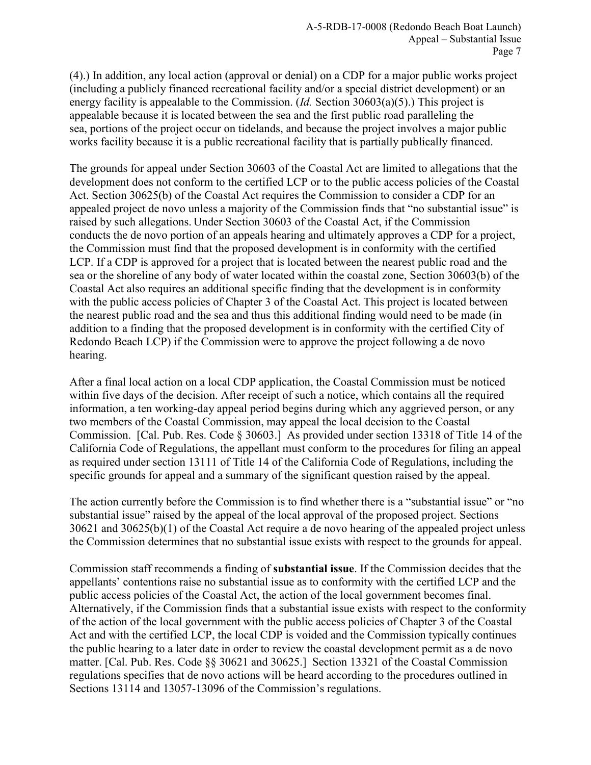(4).) In addition, any local action (approval or denial) on a CDP for a major public works project (including a publicly financed recreational facility and/or a special district development) or an energy facility is appealable to the Commission. (*Id.* Section 30603(a)(5).) This project is appealable because it is located between the sea and the first public road paralleling the sea, portions of the project occur on tidelands, and because the project involves a major public works facility because it is a public recreational facility that is partially publically financed.

The grounds for appeal under Section 30603 of the Coastal Act are limited to allegations that the development does not conform to the certified LCP or to the public access policies of the Coastal Act. Section 30625(b) of the Coastal Act requires the Commission to consider a CDP for an appealed project de novo unless a majority of the Commission finds that "no substantial issue" is raised by such allegations. Under Section 30603 of the Coastal Act, if the Commission conducts the de novo portion of an appeals hearing and ultimately approves a CDP for a project, the Commission must find that the proposed development is in conformity with the certified LCP. If a CDP is approved for a project that is located between the nearest public road and the sea or the shoreline of any body of water located within the coastal zone, Section 30603(b) of the Coastal Act also requires an additional specific finding that the development is in conformity with the public access policies of Chapter 3 of the Coastal Act. This project is located between the nearest public road and the sea and thus this additional finding would need to be made (in addition to a finding that the proposed development is in conformity with the certified City of Redondo Beach LCP) if the Commission were to approve the project following a de novo hearing.

After a final local action on a local CDP application, the Coastal Commission must be noticed within five days of the decision. After receipt of such a notice, which contains all the required information, a ten working-day appeal period begins during which any aggrieved person, or any two members of the Coastal Commission, may appeal the local decision to the Coastal Commission. [Cal. Pub. Res. Code § 30603.] As provided under section 13318 of Title 14 of the California Code of Regulations, the appellant must conform to the procedures for filing an appeal as required under section 13111 of Title 14 of the California Code of Regulations, including the specific grounds for appeal and a summary of the significant question raised by the appeal.

The action currently before the Commission is to find whether there is a "substantial issue" or "no substantial issue" raised by the appeal of the local approval of the proposed project. Sections 30621 and 30625(b)(1) of the Coastal Act require a de novo hearing of the appealed project unless the Commission determines that no substantial issue exists with respect to the grounds for appeal.

Commission staff recommends a finding of **substantial issue**. If the Commission decides that the appellants' contentions raise no substantial issue as to conformity with the certified LCP and the public access policies of the Coastal Act, the action of the local government becomes final. Alternatively, if the Commission finds that a substantial issue exists with respect to the conformity of the action of the local government with the public access policies of Chapter 3 of the Coastal Act and with the certified LCP, the local CDP is voided and the Commission typically continues the public hearing to a later date in order to review the coastal development permit as a de novo matter. [Cal. Pub. Res. Code §§ 30621 and 30625.] Section 13321 of the Coastal Commission regulations specifies that de novo actions will be heard according to the procedures outlined in Sections 13114 and 13057-13096 of the Commission's regulations.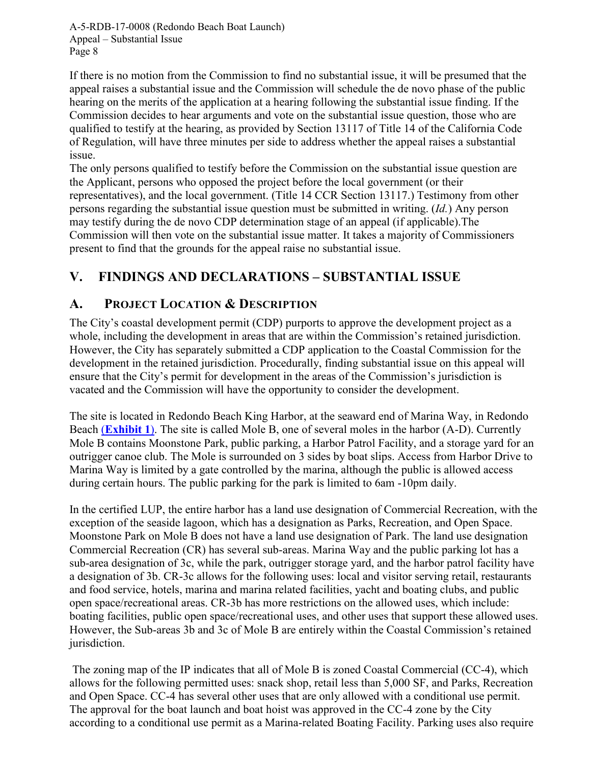<span id="page-7-0"></span>If there is no motion from the Commission to find no substantial issue, it will be presumed that the appeal raises a substantial issue and the Commission will schedule the de novo phase of the public hearing on the merits of the application at a hearing following the substantial issue finding. If the Commission decides to hear arguments and vote on the substantial issue question, those who are qualified to testify at the hearing, as provided by Section 13117 of Title 14 of the California Code of Regulation, will have three minutes per side to address whether the appeal raises a substantial issue.

The only persons qualified to testify before the Commission on the substantial issue question are the Applicant, persons who opposed the project before the local government (or their representatives), and the local government. (Title 14 CCR Section 13117.) Testimony from other persons regarding the substantial issue question must be submitted in writing. (*Id.*) Any person may testify during the de novo CDP determination stage of an appeal (if applicable).The Commission will then vote on the substantial issue matter. It takes a majority of Commissioners present to find that the grounds for the appeal raise no substantial issue.

# **V. FINDINGS AND DECLARATIONS – SUBSTANTIAL ISSUE**

### **A. PROJECT LOCATION & DESCRIPTION**

The City's coastal development permit (CDP) purports to approve the development project as a whole, including the development in areas that are within the Commission's retained jurisdiction. However, the City has separately submitted a CDP application to the Coastal Commission for the development in the retained jurisdiction. Procedurally, finding substantial issue on this appeal will ensure that the City's permit for development in the areas of the Commission's jurisdiction is vacated and the Commission will have the opportunity to consider the development.

The site is located in Redondo Beach King Harbor, at the seaward end of Marina Way, in Redondo Beach (**[Exhibit 1](https://documents.coastal.ca.gov/reports/2017/5/F15b/F15b-5-2017-exhibits.pdf)**). The site is called Mole B, one of several moles in the harbor (A-D). Currently Mole B contains Moonstone Park, public parking, a Harbor Patrol Facility, and a storage yard for an outrigger canoe club. The Mole is surrounded on 3 sides by boat slips. Access from Harbor Drive to Marina Way is limited by a gate controlled by the marina, although the public is allowed access during certain hours. The public parking for the park is limited to 6am -10pm daily.

In the certified LUP, the entire harbor has a land use designation of Commercial Recreation, with the exception of the seaside lagoon, which has a designation as Parks, Recreation, and Open Space. Moonstone Park on Mole B does not have a land use designation of Park. The land use designation Commercial Recreation (CR) has several sub-areas. Marina Way and the public parking lot has a sub-area designation of 3c, while the park, outrigger storage yard, and the harbor patrol facility have a designation of 3b. CR-3c allows for the following uses: local and visitor serving retail, restaurants and food service, hotels, marina and marina related facilities, yacht and boating clubs, and public open space/recreational areas. CR-3b has more restrictions on the allowed uses, which include: boating facilities, public open space/recreational uses, and other uses that support these allowed uses. However, the Sub-areas 3b and 3c of Mole B are entirely within the Coastal Commission's retained jurisdiction.

The zoning map of the IP indicates that all of Mole B is zoned Coastal Commercial (CC-4), which allows for the following permitted uses: snack shop, retail less than 5,000 SF, and Parks, Recreation and Open Space. CC-4 has several other uses that are only allowed with a conditional use permit. The approval for the boat launch and boat hoist was approved in the CC-4 zone by the City according to a conditional use permit as a Marina-related Boating Facility. Parking uses also require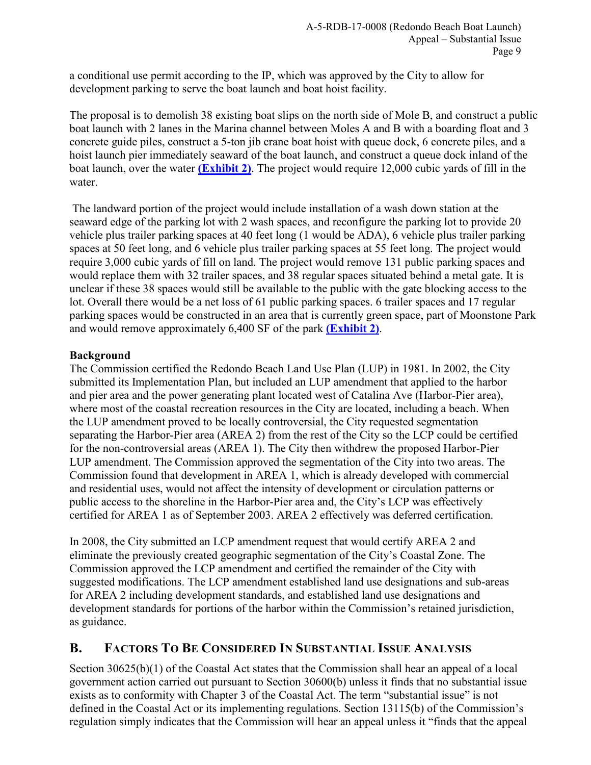<span id="page-8-0"></span>a conditional use permit according to the IP, which was approved by the City to allow for development parking to serve the boat launch and boat hoist facility.

The proposal is to demolish 38 existing boat slips on the north side of Mole B, and construct a public boat launch with 2 lanes in the Marina channel between Moles A and B with a boarding float and 3 concrete guide piles, construct a 5-ton jib crane boat hoist with queue dock, 6 concrete piles, and a hoist launch pier immediately seaward of the boat launch, and construct a queue dock inland of the boat launch, over the water **[\(Exhibit 2\)](https://documents.coastal.ca.gov/reports/2017/5/F15b/F15b-5-2017-exhibits.pdf)**. The project would require 12,000 cubic yards of fill in the water.

The landward portion of the project would include installation of a wash down station at the seaward edge of the parking lot with 2 wash spaces, and reconfigure the parking lot to provide 20 vehicle plus trailer parking spaces at 40 feet long (1 would be ADA), 6 vehicle plus trailer parking spaces at 50 feet long, and 6 vehicle plus trailer parking spaces at 55 feet long. The project would require 3,000 cubic yards of fill on land. The project would remove 131 public parking spaces and would replace them with 32 trailer spaces, and 38 regular spaces situated behind a metal gate. It is unclear if these 38 spaces would still be available to the public with the gate blocking access to the lot. Overall there would be a net loss of 61 public parking spaces. 6 trailer spaces and 17 regular parking spaces would be constructed in an area that is currently green space, part of Moonstone Park and would remove approximately 6,400 SF of the park **[\(Exhibit 2\)](https://documents.coastal.ca.gov/reports/2017/5/F15b/F15b-5-2017-exhibits.pdf)**.

### **Background**

The Commission certified the Redondo Beach Land Use Plan (LUP) in 1981. In 2002, the City submitted its Implementation Plan, but included an LUP amendment that applied to the harbor and pier area and the power generating plant located west of Catalina Ave (Harbor-Pier area), where most of the coastal recreation resources in the City are located, including a beach. When the LUP amendment proved to be locally controversial, the City requested segmentation separating the Harbor-Pier area (AREA 2) from the rest of the City so the LCP could be certified for the non-controversial areas (AREA 1). The City then withdrew the proposed Harbor-Pier LUP amendment. The Commission approved the segmentation of the City into two areas. The Commission found that development in AREA 1, which is already developed with commercial and residential uses, would not affect the intensity of development or circulation patterns or public access to the shoreline in the Harbor-Pier area and, the City's LCP was effectively certified for AREA 1 as of September 2003. AREA 2 effectively was deferred certification.

In 2008, the City submitted an LCP amendment request that would certify AREA 2 and eliminate the previously created geographic segmentation of the City's Coastal Zone. The Commission approved the LCP amendment and certified the remainder of the City with suggested modifications. The LCP amendment established land use designations and sub-areas for AREA 2 including development standards, and established land use designations and development standards for portions of the harbor within the Commission's retained jurisdiction, as guidance.

# **B. FACTORS TO BE CONSIDERED IN SUBSTANTIAL ISSUE ANALYSIS**

Section 30625(b)(1) of the Coastal Act states that the Commission shall hear an appeal of a local government action carried out pursuant to Section 30600(b) unless it finds that no substantial issue exists as to conformity with Chapter 3 of the Coastal Act. The term "substantial issue" is not defined in the Coastal Act or its implementing regulations. Section 13115(b) of the Commission's regulation simply indicates that the Commission will hear an appeal unless it "finds that the appeal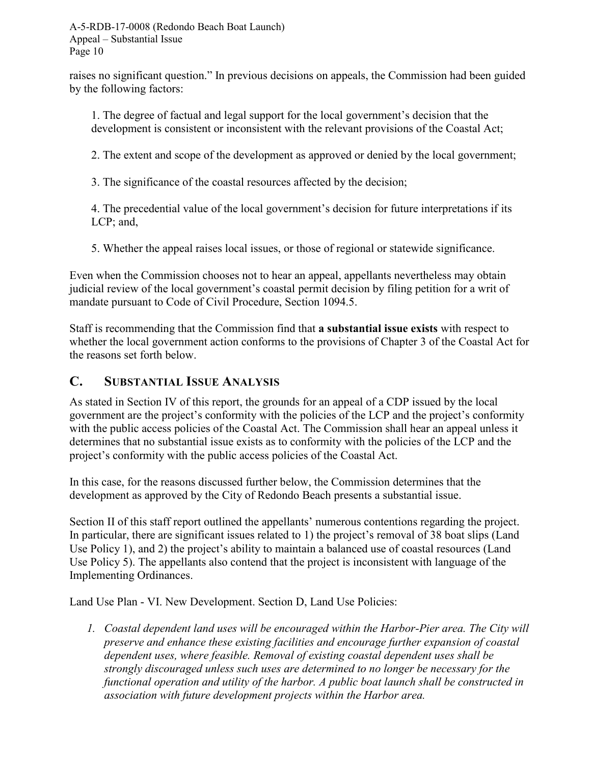<span id="page-9-0"></span>raises no significant question." In previous decisions on appeals, the Commission had been guided by the following factors:

1. The degree of factual and legal support for the local government's decision that the development is consistent or inconsistent with the relevant provisions of the Coastal Act;

2. The extent and scope of the development as approved or denied by the local government;

3. The significance of the coastal resources affected by the decision;

4. The precedential value of the local government's decision for future interpretations if its LCP; and,

5. Whether the appeal raises local issues, or those of regional or statewide significance.

Even when the Commission chooses not to hear an appeal, appellants nevertheless may obtain judicial review of the local government's coastal permit decision by filing petition for a writ of mandate pursuant to Code of Civil Procedure, Section 1094.5.

Staff is recommending that the Commission find that **a substantial issue exists** with respect to whether the local government action conforms to the provisions of Chapter 3 of the Coastal Act for the reasons set forth below.

# **C. SUBSTANTIAL ISSUE ANALYSIS**

As stated in Section IV of this report, the grounds for an appeal of a CDP issued by the local government are the project's conformity with the policies of the LCP and the project's conformity with the public access policies of the Coastal Act. The Commission shall hear an appeal unless it determines that no substantial issue exists as to conformity with the policies of the LCP and the project's conformity with the public access policies of the Coastal Act.

In this case, for the reasons discussed further below, the Commission determines that the development as approved by the City of Redondo Beach presents a substantial issue.

Section II of this staff report outlined the appellants' numerous contentions regarding the project. In particular, there are significant issues related to 1) the project's removal of 38 boat slips (Land Use Policy 1), and 2) the project's ability to maintain a balanced use of coastal resources (Land Use Policy 5). The appellants also contend that the project is inconsistent with language of the Implementing Ordinances.

Land Use Plan - VI. New Development. Section D, Land Use Policies:

*1. Coastal dependent land uses will be encouraged within the Harbor-Pier area. The City will preserve and enhance these existing facilities and encourage further expansion of coastal dependent uses, where feasible. Removal of existing coastal dependent uses shall be strongly discouraged unless such uses are determined to no longer be necessary for the functional operation and utility of the harbor. A public boat launch shall be constructed in association with future development projects within the Harbor area.*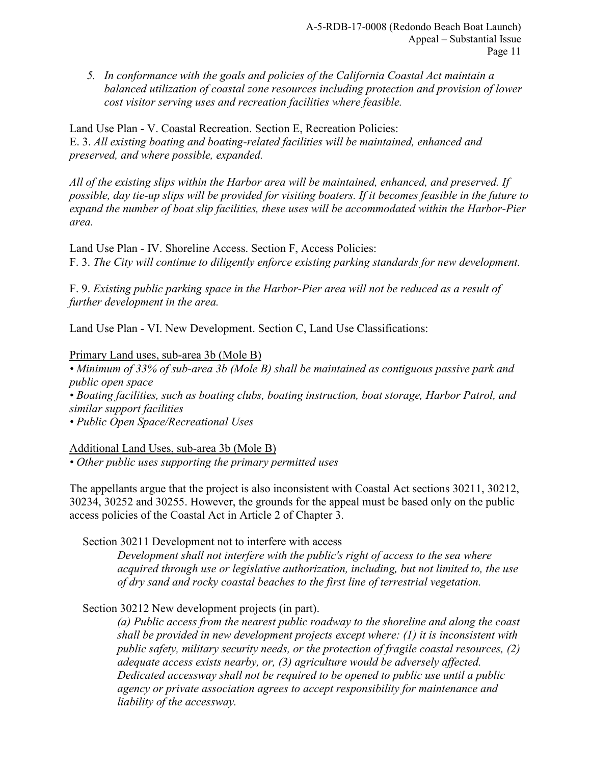*5. In conformance with the goals and policies of the California Coastal Act maintain a balanced utilization of coastal zone resources including protection and provision of lower cost visitor serving uses and recreation facilities where feasible.* 

Land Use Plan - V. Coastal Recreation. Section E, Recreation Policies: E. 3. *All existing boating and boating-related facilities will be maintained, enhanced and preserved, and where possible, expanded.* 

*All of the existing slips within the Harbor area will be maintained, enhanced, and preserved. If possible, day tie-up slips will be provided for visiting boaters. If it becomes feasible in the future to expand the number of boat slip facilities, these uses will be accommodated within the Harbor-Pier area.* 

Land Use Plan - IV. Shoreline Access. Section F, Access Policies: F. 3. *The City will continue to diligently enforce existing parking standards for new development.* 

F. 9. *Existing public parking space in the Harbor-Pier area will not be reduced as a result of further development in the area.* 

Land Use Plan - VI. New Development. Section C, Land Use Classifications:

### Primary Land uses, sub-area 3b (Mole B)

*• Minimum of 33% of sub-area 3b (Mole B) shall be maintained as contiguous passive park and public open space • Boating facilities, such as boating clubs, boating instruction, boat storage, Harbor Patrol, and similar support facilities • Public Open Space/Recreational Uses* 

### Additional Land Uses, sub-area 3b (Mole B)

*• Other public uses supporting the primary permitted uses* 

The appellants argue that the project is also inconsistent with Coastal Act sections 30211, 30212, 30234, 30252 and 30255. However, the grounds for the appeal must be based only on the public access policies of the Coastal Act in Article 2 of Chapter 3.

Section 30211 Development not to interfere with access

*Development shall not interfere with the public's right of access to the sea where acquired through use or legislative authorization, including, but not limited to, the use of dry sand and rocky coastal beaches to the first line of terrestrial vegetation.* 

Section 30212 New development projects (in part).

*(a) Public access from the nearest public roadway to the shoreline and along the coast shall be provided in new development projects except where: (1) it is inconsistent with public safety, military security needs, or the protection of fragile coastal resources, (2) adequate access exists nearby, or, (3) agriculture would be adversely affected. Dedicated accessway shall not be required to be opened to public use until a public agency or private association agrees to accept responsibility for maintenance and liability of the accessway.*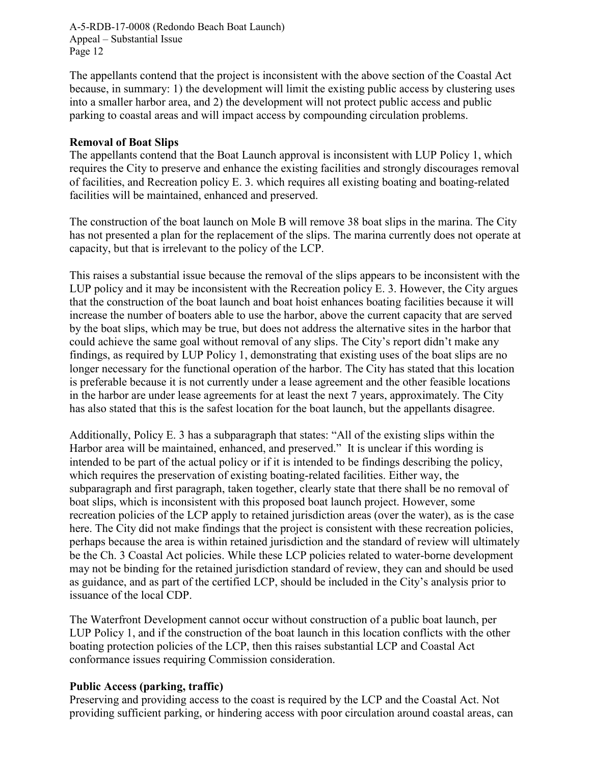The appellants contend that the project is inconsistent with the above section of the Coastal Act because, in summary: 1) the development will limit the existing public access by clustering uses into a smaller harbor area, and 2) the development will not protect public access and public parking to coastal areas and will impact access by compounding circulation problems.

### **Removal of Boat Slips**

The appellants contend that the Boat Launch approval is inconsistent with LUP Policy 1, which requires the City to preserve and enhance the existing facilities and strongly discourages removal of facilities, and Recreation policy E. 3. which requires all existing boating and boating-related facilities will be maintained, enhanced and preserved.

The construction of the boat launch on Mole B will remove 38 boat slips in the marina. The City has not presented a plan for the replacement of the slips. The marina currently does not operate at capacity, but that is irrelevant to the policy of the LCP.

This raises a substantial issue because the removal of the slips appears to be inconsistent with the LUP policy and it may be inconsistent with the Recreation policy E. 3. However, the City argues that the construction of the boat launch and boat hoist enhances boating facilities because it will increase the number of boaters able to use the harbor, above the current capacity that are served by the boat slips, which may be true, but does not address the alternative sites in the harbor that could achieve the same goal without removal of any slips. The City's report didn't make any findings, as required by LUP Policy 1, demonstrating that existing uses of the boat slips are no longer necessary for the functional operation of the harbor. The City has stated that this location is preferable because it is not currently under a lease agreement and the other feasible locations in the harbor are under lease agreements for at least the next 7 years, approximately. The City has also stated that this is the safest location for the boat launch, but the appellants disagree.

Additionally, Policy E. 3 has a subparagraph that states: "All of the existing slips within the Harbor area will be maintained, enhanced, and preserved." It is unclear if this wording is intended to be part of the actual policy or if it is intended to be findings describing the policy, which requires the preservation of existing boating-related facilities. Either way, the subparagraph and first paragraph, taken together, clearly state that there shall be no removal of boat slips, which is inconsistent with this proposed boat launch project. However, some recreation policies of the LCP apply to retained jurisdiction areas (over the water), as is the case here. The City did not make findings that the project is consistent with these recreation policies, perhaps because the area is within retained jurisdiction and the standard of review will ultimately be the Ch. 3 Coastal Act policies. While these LCP policies related to water-borne development may not be binding for the retained jurisdiction standard of review, they can and should be used as guidance, and as part of the certified LCP, should be included in the City's analysis prior to issuance of the local CDP.

The Waterfront Development cannot occur without construction of a public boat launch, per LUP Policy 1, and if the construction of the boat launch in this location conflicts with the other boating protection policies of the LCP, then this raises substantial LCP and Coastal Act conformance issues requiring Commission consideration.

#### **Public Access (parking, traffic)**

Preserving and providing access to the coast is required by the LCP and the Coastal Act. Not providing sufficient parking, or hindering access with poor circulation around coastal areas, can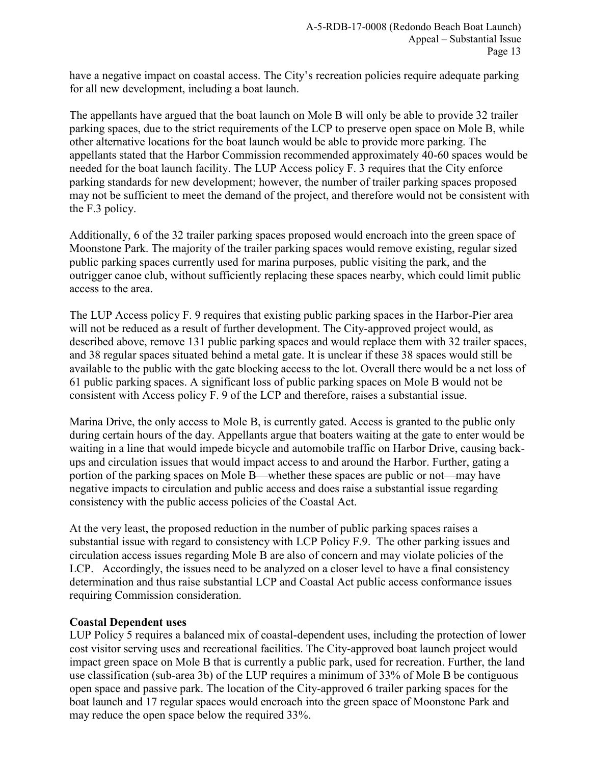have a negative impact on coastal access. The City's recreation policies require adequate parking for all new development, including a boat launch.

The appellants have argued that the boat launch on Mole B will only be able to provide 32 trailer parking spaces, due to the strict requirements of the LCP to preserve open space on Mole B, while other alternative locations for the boat launch would be able to provide more parking. The appellants stated that the Harbor Commission recommended approximately 40-60 spaces would be needed for the boat launch facility. The LUP Access policy F. 3 requires that the City enforce parking standards for new development; however, the number of trailer parking spaces proposed may not be sufficient to meet the demand of the project, and therefore would not be consistent with the F.3 policy.

Additionally, 6 of the 32 trailer parking spaces proposed would encroach into the green space of Moonstone Park. The majority of the trailer parking spaces would remove existing, regular sized public parking spaces currently used for marina purposes, public visiting the park, and the outrigger canoe club, without sufficiently replacing these spaces nearby, which could limit public access to the area.

The LUP Access policy F. 9 requires that existing public parking spaces in the Harbor-Pier area will not be reduced as a result of further development. The City-approved project would, as described above, remove 131 public parking spaces and would replace them with 32 trailer spaces, and 38 regular spaces situated behind a metal gate. It is unclear if these 38 spaces would still be available to the public with the gate blocking access to the lot. Overall there would be a net loss of 61 public parking spaces. A significant loss of public parking spaces on Mole B would not be consistent with Access policy F. 9 of the LCP and therefore, raises a substantial issue.

Marina Drive, the only access to Mole B, is currently gated. Access is granted to the public only during certain hours of the day. Appellants argue that boaters waiting at the gate to enter would be waiting in a line that would impede bicycle and automobile traffic on Harbor Drive, causing backups and circulation issues that would impact access to and around the Harbor. Further, gating a portion of the parking spaces on Mole B—whether these spaces are public or not—may have negative impacts to circulation and public access and does raise a substantial issue regarding consistency with the public access policies of the Coastal Act.

At the very least, the proposed reduction in the number of public parking spaces raises a substantial issue with regard to consistency with LCP Policy F.9. The other parking issues and circulation access issues regarding Mole B are also of concern and may violate policies of the LCP. Accordingly, the issues need to be analyzed on a closer level to have a final consistency determination and thus raise substantial LCP and Coastal Act public access conformance issues requiring Commission consideration.

### **Coastal Dependent uses**

LUP Policy 5 requires a balanced mix of coastal-dependent uses, including the protection of lower cost visitor serving uses and recreational facilities. The City-approved boat launch project would impact green space on Mole B that is currently a public park, used for recreation. Further, the land use classification (sub-area 3b) of the LUP requires a minimum of 33% of Mole B be contiguous open space and passive park. The location of the City-approved 6 trailer parking spaces for the boat launch and 17 regular spaces would encroach into the green space of Moonstone Park and may reduce the open space below the required 33%.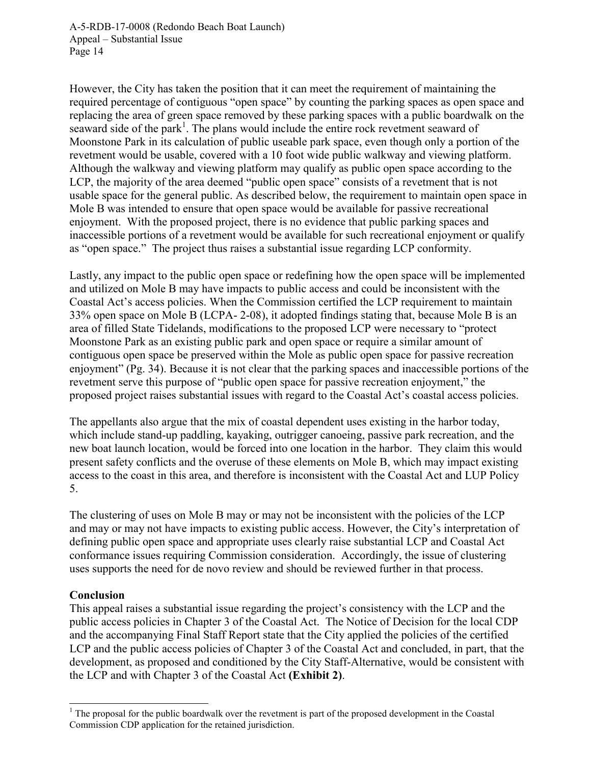However, the City has taken the position that it can meet the requirement of maintaining the required percentage of contiguous "open space" by counting the parking spaces as open space and replacing the area of green space removed by these parking spaces with a public boardwalk on the seaward side of the park<sup>1</sup>. The plans would include the entire rock revetment seaward of Moonstone Park in its calculation of public useable park space, even though only a portion of the revetment would be usable, covered with a 10 foot wide public walkway and viewing platform. Although the walkway and viewing platform may qualify as public open space according to the LCP, the majority of the area deemed "public open space" consists of a revetment that is not usable space for the general public. As described below, the requirement to maintain open space in Mole B was intended to ensure that open space would be available for passive recreational enjoyment. With the proposed project, there is no evidence that public parking spaces and inaccessible portions of a revetment would be available for such recreational enjoyment or qualify as "open space." The project thus raises a substantial issue regarding LCP conformity.

Lastly, any impact to the public open space or redefining how the open space will be implemented and utilized on Mole B may have impacts to public access and could be inconsistent with the Coastal Act's access policies. When the Commission certified the LCP requirement to maintain 33% open space on Mole B (LCPA- 2-08), it adopted findings stating that, because Mole B is an area of filled State Tidelands, modifications to the proposed LCP were necessary to "protect Moonstone Park as an existing public park and open space or require a similar amount of contiguous open space be preserved within the Mole as public open space for passive recreation enjoyment" (Pg. 34). Because it is not clear that the parking spaces and inaccessible portions of the revetment serve this purpose of "public open space for passive recreation enjoyment," the proposed project raises substantial issues with regard to the Coastal Act's coastal access policies.

The appellants also argue that the mix of coastal dependent uses existing in the harbor today, which include stand-up paddling, kayaking, outrigger canoeing, passive park recreation, and the new boat launch location, would be forced into one location in the harbor. They claim this would present safety conflicts and the overuse of these elements on Mole B, which may impact existing access to the coast in this area, and therefore is inconsistent with the Coastal Act and LUP Policy 5.

The clustering of uses on Mole B may or may not be inconsistent with the policies of the LCP and may or may not have impacts to existing public access. However, the City's interpretation of defining public open space and appropriate uses clearly raise substantial LCP and Coastal Act conformance issues requiring Commission consideration. Accordingly, the issue of clustering uses supports the need for de novo review and should be reviewed further in that process.

### **Conclusion**

This appeal raises a substantial issue regarding the project's consistency with the LCP and the public access policies in Chapter 3 of the Coastal Act. The Notice of Decision for the local CDP and the accompanying Final Staff Report state that the City applied the policies of the certified LCP and the public access policies of Chapter 3 of the Coastal Act and concluded, in part, that the development, as proposed and conditioned by the City Staff-Alternative, would be consistent with the LCP and with Chapter 3 of the Coastal Act **(Exhibit 2)**.

 $\overline{a}$ <sup>1</sup> The proposal for the public boardwalk over the revetment is part of the proposed development in the Coastal Commission CDP application for the retained jurisdiction.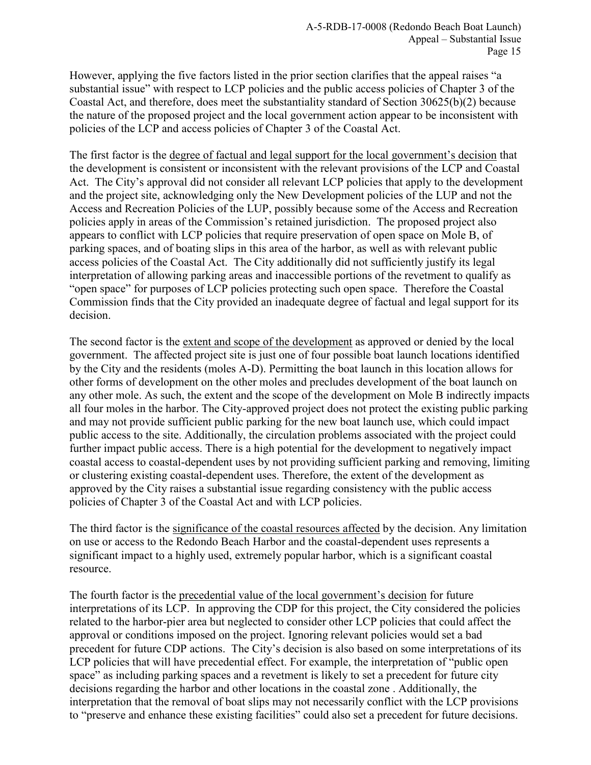However, applying the five factors listed in the prior section clarifies that the appeal raises "a substantial issue" with respect to LCP policies and the public access policies of Chapter 3 of the Coastal Act, and therefore, does meet the substantiality standard of Section 30625(b)(2) because the nature of the proposed project and the local government action appear to be inconsistent with policies of the LCP and access policies of Chapter 3 of the Coastal Act.

The first factor is the degree of factual and legal support for the local government's decision that the development is consistent or inconsistent with the relevant provisions of the LCP and Coastal Act. The City's approval did not consider all relevant LCP policies that apply to the development and the project site, acknowledging only the New Development policies of the LUP and not the Access and Recreation Policies of the LUP, possibly because some of the Access and Recreation policies apply in areas of the Commission's retained jurisdiction. The proposed project also appears to conflict with LCP policies that require preservation of open space on Mole B, of parking spaces, and of boating slips in this area of the harbor, as well as with relevant public access policies of the Coastal Act. The City additionally did not sufficiently justify its legal interpretation of allowing parking areas and inaccessible portions of the revetment to qualify as "open space" for purposes of LCP policies protecting such open space. Therefore the Coastal Commission finds that the City provided an inadequate degree of factual and legal support for its decision.

The second factor is the extent and scope of the development as approved or denied by the local government. The affected project site is just one of four possible boat launch locations identified by the City and the residents (moles A-D). Permitting the boat launch in this location allows for other forms of development on the other moles and precludes development of the boat launch on any other mole. As such, the extent and the scope of the development on Mole B indirectly impacts all four moles in the harbor. The City-approved project does not protect the existing public parking and may not provide sufficient public parking for the new boat launch use, which could impact public access to the site. Additionally, the circulation problems associated with the project could further impact public access. There is a high potential for the development to negatively impact coastal access to coastal-dependent uses by not providing sufficient parking and removing, limiting or clustering existing coastal-dependent uses. Therefore, the extent of the development as approved by the City raises a substantial issue regarding consistency with the public access policies of Chapter 3 of the Coastal Act and with LCP policies.

The third factor is the significance of the coastal resources affected by the decision. Any limitation on use or access to the Redondo Beach Harbor and the coastal-dependent uses represents a significant impact to a highly used, extremely popular harbor, which is a significant coastal resource.

The fourth factor is the precedential value of the local government's decision for future interpretations of its LCP. In approving the CDP for this project, the City considered the policies related to the harbor-pier area but neglected to consider other LCP policies that could affect the approval or conditions imposed on the project. Ignoring relevant policies would set a bad precedent for future CDP actions. The City's decision is also based on some interpretations of its LCP policies that will have precedential effect. For example, the interpretation of "public open space" as including parking spaces and a revetment is likely to set a precedent for future city decisions regarding the harbor and other locations in the coastal zone . Additionally, the interpretation that the removal of boat slips may not necessarily conflict with the LCP provisions to "preserve and enhance these existing facilities" could also set a precedent for future decisions.